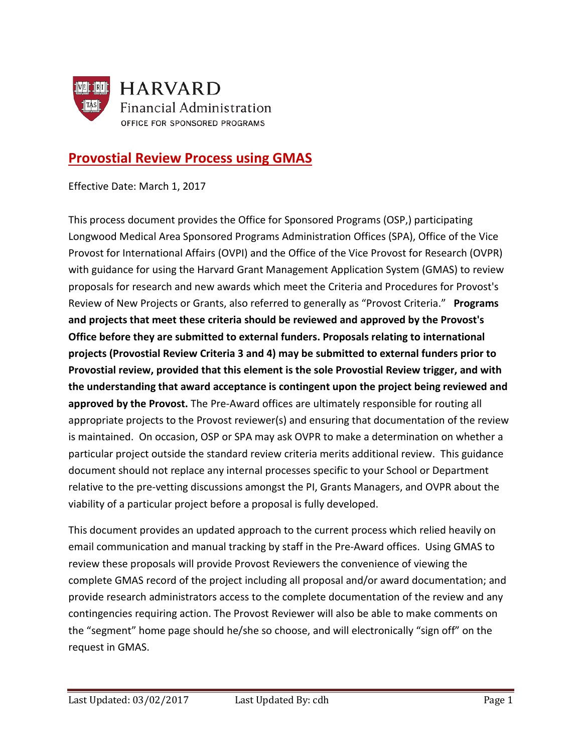

# **Provostial Review Process using GMAS**

Effective Date: March 1, 2017

This process document provides the Office for Sponsored Programs (OSP,) participating Longwood Medical Area Sponsored Programs Administration Offices (SPA), Office of the Vice Provost for International Affairs (OVPI) and the Office of the Vice Provost for Research (OVPR) with guidance for using the Harvard Grant Management Application System (GMAS) to review proposals for research and new awards which meet the Criteria and Procedures for Provost's Review of New Projects or Grants, also referred to generally as "Provost Criteria." **Programs and projects that meet these criteria should be reviewed and approved by the Provost's Office before they are submitted to external funders. Proposals relating to international projects (Provostial Review Criteria 3 and 4) may be submitted to external funders prior to Provostial review, provided that this element is the sole Provostial Review trigger, and with the understanding that award acceptance is contingent upon the project being reviewed and approved by the Provost.** The Pre-Award offices are ultimately responsible for routing all appropriate projects to the Provost reviewer(s) and ensuring that documentation of the review is maintained. On occasion, OSP or SPA may ask OVPR to make a determination on whether a particular project outside the standard review criteria merits additional review. This guidance document should not replace any internal processes specific to your School or Department relative to the pre-vetting discussions amongst the PI, Grants Managers, and OVPR about the viability of a particular project before a proposal is fully developed.

This document provides an updated approach to the current process which relied heavily on email communication and manual tracking by staff in the Pre-Award offices. Using GMAS to review these proposals will provide Provost Reviewers the convenience of viewing the complete GMAS record of the project including all proposal and/or award documentation; and provide research administrators access to the complete documentation of the review and any contingencies requiring action. The Provost Reviewer will also be able to make comments on the "segment" home page should he/she so choose, and will electronically "sign off" on the request in GMAS.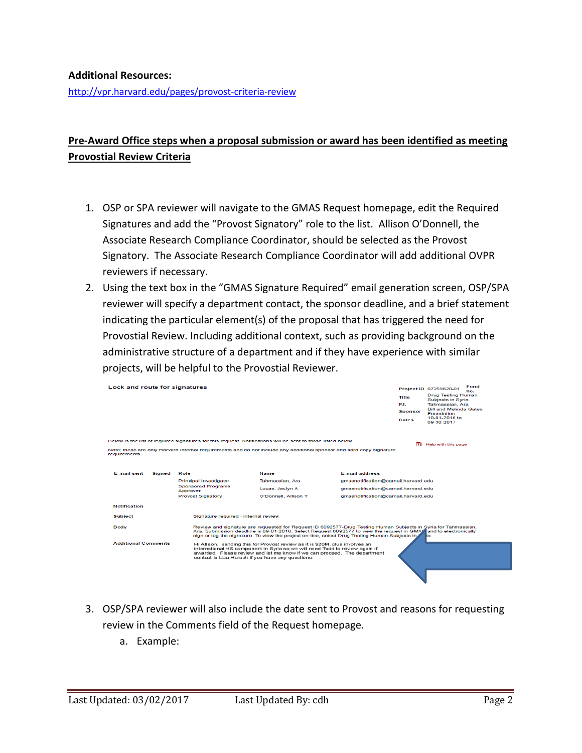## **Additional Resources:**

<http://vpr.harvard.edu/pages/provost-criteria-review>

## **Pre-Award Office steps when a proposal submission or award has been identified as meeting Provostial Review Criteria**

- 1. OSP or SPA reviewer will navigate to the GMAS Request homepage, edit the Required Signatures and add the "Provost Signatory" role to the list. Allison O'Donnell, the Associate Research Compliance Coordinator, should be selected as the Provost Signatory. The Associate Research Compliance Coordinator will add additional OVPR reviewers if necessary.
- 2. Using the text box in the "GMAS Signature Required" email generation screen, OSP/SPA reviewer will specify a department contact, the sponsor deadline, and a brief statement indicating the particular element(s) of the proposal that has triggered the need for Provostial Review. Including additional context, such as providing background on the administrative structure of a department and if they have experience with similar projects, will be helpful to the Provostial Reviewer.

| Lock and route for signatures |        |                                                   |                                                                                                                                                                                                                                                                                                                                       |                                     | Fund<br>Project ID 07259820-01<br>no. |                                                  |  |
|-------------------------------|--------|---------------------------------------------------|---------------------------------------------------------------------------------------------------------------------------------------------------------------------------------------------------------------------------------------------------------------------------------------------------------------------------------------|-------------------------------------|---------------------------------------|--------------------------------------------------|--|
|                               |        |                                                   |                                                                                                                                                                                                                                                                                                                                       |                                     | <b>Title</b>                          | <b>Drug Testing Human</b><br>Subjects in Syria   |  |
|                               |        |                                                   |                                                                                                                                                                                                                                                                                                                                       |                                     | P.L                                   | Tahmassian, Ara<br><b>Bill and Melinda Gates</b> |  |
|                               |        |                                                   |                                                                                                                                                                                                                                                                                                                                       |                                     | <b>Sponsor</b>                        | <b>Foundation</b><br>10-01-2016 to               |  |
|                               |        |                                                   |                                                                                                                                                                                                                                                                                                                                       |                                     | <b>Dates</b>                          | 09-30-2017                                       |  |
|                               |        |                                                   |                                                                                                                                                                                                                                                                                                                                       |                                     |                                       |                                                  |  |
|                               |        |                                                   | Below is the list of required signatures for this request. Notifications will be sent to those listed below.                                                                                                                                                                                                                          |                                     |                                       |                                                  |  |
| requirements.                 |        |                                                   | Note: these are only Harvard internal requirements and do not include any additional sponsor and hard copy signature                                                                                                                                                                                                                  |                                     | m.                                    | Help with this page                              |  |
|                               |        |                                                   |                                                                                                                                                                                                                                                                                                                                       |                                     |                                       |                                                  |  |
| <b>E-mail sent</b>            | Signed | Role                                              | <b>Name</b>                                                                                                                                                                                                                                                                                                                           | <b>E-mail address</b>               |                                       |                                                  |  |
|                               |        | Principal Investigator                            | Tahmassian, Ara                                                                                                                                                                                                                                                                                                                       | qmasnotification@camail.harvard.edu |                                       |                                                  |  |
|                               |        | <b>Sponsored Programs</b>                         | Lucas, Jaclyn A                                                                                                                                                                                                                                                                                                                       | gmasnotification@camail.harvard.edu |                                       |                                                  |  |
|                               |        | Approver                                          |                                                                                                                                                                                                                                                                                                                                       |                                     |                                       |                                                  |  |
|                               |        | <b>Provost Signatory</b>                          | O'Donnell, Allison T                                                                                                                                                                                                                                                                                                                  | amasnotification@camail.harvard.edu |                                       |                                                  |  |
| <b>Notification</b>           |        |                                                   |                                                                                                                                                                                                                                                                                                                                       |                                     |                                       |                                                  |  |
| <b>Subject</b>                |        | Signature required - internal review              |                                                                                                                                                                                                                                                                                                                                       |                                     |                                       |                                                  |  |
| Body                          |        |                                                   | Review and signature are requested for Request ID 6092577-Drug Testing Human Subjects in Syria for Tahmassian,<br>Ara. Submission deadline is 09-01-2016. Select Request 6092577 to view the request in GMAS and to electronically<br>sign or log the signature. To view the project on-line, select Drug Testing Human Subjects in £ |                                     |                                       | lа.                                              |  |
| <b>Additional Comments</b>    |        | contact is Liza Harsch if you have any questions. | Hi Allison, sending this for Provost review as it is \$20M, plus involves an<br>international HS component in Syria so we will need Todd to review again if<br>awarded. Please review and let me know if we can proceed. The department                                                                                               |                                     |                                       |                                                  |  |
|                               |        |                                                   |                                                                                                                                                                                                                                                                                                                                       |                                     |                                       |                                                  |  |

- 3. OSP/SPA reviewer will also include the date sent to Provost and reasons for requesting review in the Comments field of the Request homepage.
	- a. Example: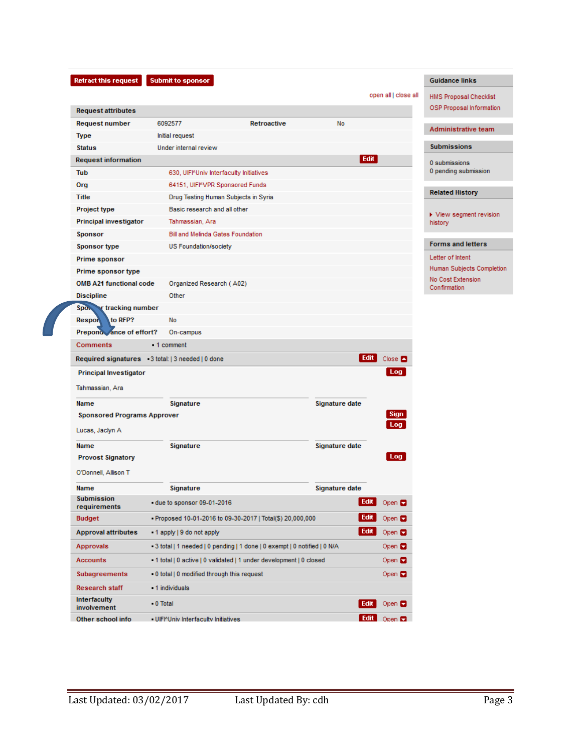| Retract this reques |  |
|---------------------|--|
|---------------------|--|

**Request attributes** 

**Request information** 

Principal investigator

**Request number** 

Type

Tub

Org

Title

Project type

**Status** 

Submit to sponsor

Retroactive

6092577

Initial request

Under internal review

630, UIFI<sup>N</sup>Univ Interfaculty Initiatives

64151, UIFMVPR Sponsored Funds

Basic research and all other

Tahmassian, Ara

Drug Testing Human Subjects in Syria

open all | close all

No

Edit

## HMS Proposal Checklist

**Guidance links** 

OSP Proposal Information

#### Administrative team

### Submissions

0 submissions 0 pending submission

#### **Related History**

 $\blacktriangleright$  View segment revision history

#### **Forms and letters**

Letter of Intent Human Subjects Completion No Cost Extension  $\operatorname{\mathsf{Confirmation}}$ 

| Sponsor                                                                          |                                                                          | Bill and Melinda Gates Foundation                        |                |               |  |  |
|----------------------------------------------------------------------------------|--------------------------------------------------------------------------|----------------------------------------------------------|----------------|---------------|--|--|
| <b>Sponsor type</b>                                                              |                                                                          | US Foundation/society                                    |                |               |  |  |
| Prime sponsor                                                                    |                                                                          |                                                          |                |               |  |  |
| Prime sponsor type                                                               |                                                                          |                                                          |                |               |  |  |
| <b>OMB A21 functional code</b>                                                   |                                                                          | Organized Research (A02)                                 |                |               |  |  |
| <b>Discipline</b>                                                                |                                                                          | Other                                                    |                |               |  |  |
| Spon v tracking number                                                           |                                                                          |                                                          |                |               |  |  |
| to RFP?<br><b>Respon</b>                                                         |                                                                          | No                                                       |                |               |  |  |
| Prepond ance of effort?                                                          |                                                                          | On-campus                                                |                |               |  |  |
| <b>Comments</b>                                                                  |                                                                          | 1 comment                                                |                |               |  |  |
| Edit<br>Required signatures 3 total:   3 needed   0 done<br>Close $\blacksquare$ |                                                                          |                                                          |                |               |  |  |
| <b>Principal Investigator</b>                                                    |                                                                          |                                                          |                | Log           |  |  |
| Tahmassian, Ara                                                                  |                                                                          |                                                          |                |               |  |  |
| <b>Name</b>                                                                      |                                                                          | <b>Signature</b>                                         | Signature date |               |  |  |
| <b>Sponsored Programs Approver</b>                                               |                                                                          |                                                          |                | Sign          |  |  |
| Lucas, Jaclyn A                                                                  |                                                                          |                                                          |                | Log           |  |  |
| <b>Name</b>                                                                      |                                                                          | <b>Signature</b>                                         | Signature date |               |  |  |
| <b>Provost Signatory</b>                                                         |                                                                          |                                                          |                | Log           |  |  |
| O'Donnell, Allison T                                                             |                                                                          |                                                          |                |               |  |  |
| <b>Name</b>                                                                      |                                                                          | Signature                                                | Signature date |               |  |  |
| <b>Submission</b><br>requirements                                                |                                                                          | due to sponsor 09-01-2016                                | Edit           | Open $\Box$   |  |  |
| <b>Budget</b>                                                                    |                                                                          | Proposed 10-01-2016 to 09-30-2017   Total(\$) 20,000,000 | Edit           | Open $\Box$   |  |  |
| <b>Approval attributes</b>                                                       |                                                                          | - 1 apply   9 do not apply                               | Edit           | Open <b>D</b> |  |  |
| <b>Approvals</b>                                                                 | -3 total   1 needed   0 pending   1 done   0 exempt   0 notified   0 N/A |                                                          |                | Open <b>D</b> |  |  |
| <b>Accounts</b>                                                                  | -1 total   0 active   0 validated   1 under development   0 closed       |                                                          |                | Open <b>D</b> |  |  |
| Subagreements                                                                    |                                                                          | - 0 total   0 modified through this request              |                | Open <b>D</b> |  |  |
| <b>Research staff</b>                                                            |                                                                          | 1 individuals                                            |                |               |  |  |
| <b>Interfaculty</b><br>involvement                                               | $-0$ Total                                                               |                                                          | Edit           | Open $\Box$   |  |  |
| Other school info                                                                |                                                                          | - UIFI <sup>N</sup> Univ Interfaculty Initiatives        | Edit           | Open $\Box$   |  |  |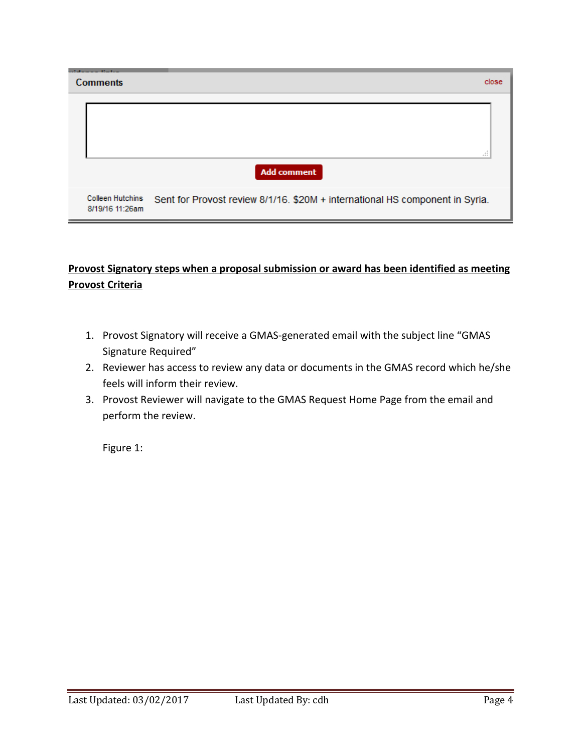| and all a series of the United<br><b>Comments</b> | close                                                                        |
|---------------------------------------------------|------------------------------------------------------------------------------|
|                                                   | 111<br><b>Add comment</b>                                                    |
| <b>Colleen Hutchins</b><br>8/19/16 11:26am        | Sent for Provost review 8/1/16. \$20M + international HS component in Syria. |

## **Provost Signatory steps when a proposal submission or award has been identified as meeting Provost Criteria**

- 1. Provost Signatory will receive a GMAS-generated email with the subject line "GMAS Signature Required"
- 2. Reviewer has access to review any data or documents in the GMAS record which he/she feels will inform their review.
- 3. Provost Reviewer will navigate to the GMAS Request Home Page from the email and perform the review.

Figure 1: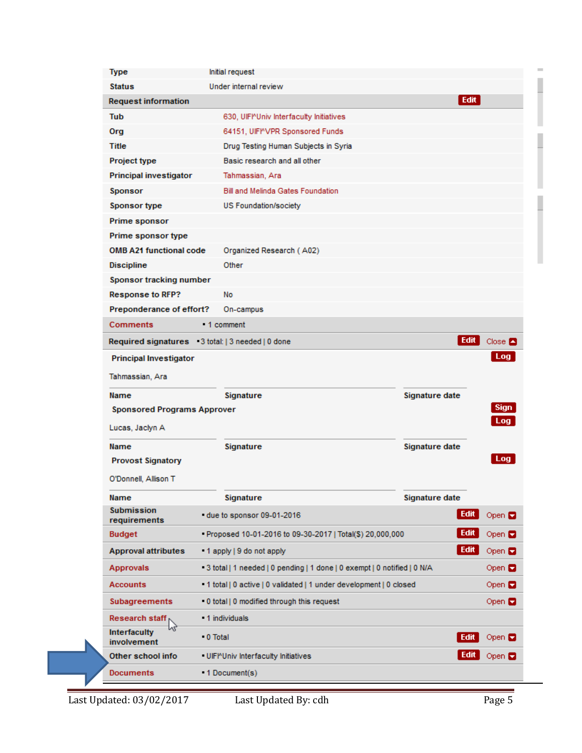| <b>Type</b>                                                                            | Initial request                                          |                                                                         |                      |  |
|----------------------------------------------------------------------------------------|----------------------------------------------------------|-------------------------------------------------------------------------|----------------------|--|
| <b>Status</b><br>Under internal review                                                 |                                                          |                                                                         |                      |  |
| <b>Request information</b>                                                             |                                                          | Edit                                                                    |                      |  |
| Tub                                                                                    | 630. UIFI <sup>O</sup> Univ Interfaculty Initiatives     |                                                                         |                      |  |
| Org                                                                                    | 64151, UIFINVPR Sponsored Funds                          |                                                                         |                      |  |
| Title                                                                                  | Drug Testing Human Subjects in Syria                     |                                                                         |                      |  |
| <b>Project type</b>                                                                    | Basic research and all other                             |                                                                         |                      |  |
| <b>Principal investigator</b>                                                          | Tahmassian, Ara                                          |                                                                         |                      |  |
| <b>Sponsor</b>                                                                         | <b>Bill and Melinda Gates Foundation</b>                 |                                                                         |                      |  |
| <b>Sponsor type</b>                                                                    | US Foundation/society                                    |                                                                         |                      |  |
| Prime sponsor                                                                          |                                                          |                                                                         |                      |  |
| Prime sponsor type                                                                     |                                                          |                                                                         |                      |  |
| <b>OMB A21 functional code</b>                                                         | Organized Research (A02)                                 |                                                                         |                      |  |
| <b>Discipline</b>                                                                      | Other                                                    |                                                                         |                      |  |
| Sponsor tracking number                                                                |                                                          |                                                                         |                      |  |
| <b>Response to RFP?</b>                                                                | No                                                       |                                                                         |                      |  |
| Preponderance of effort?                                                               | On-campus                                                |                                                                         |                      |  |
| <b>Comments</b>                                                                        | 1 comment                                                |                                                                         |                      |  |
| Required signatures 3 total:   3 needed   0 done                                       |                                                          | Edit                                                                    | Close $\blacksquare$ |  |
| <b>Principal Investigator</b>                                                          |                                                          |                                                                         | Log                  |  |
| Tahmassian, Ara                                                                        |                                                          |                                                                         |                      |  |
| Name                                                                                   | Signature                                                | Signature date                                                          |                      |  |
| <b>Sponsored Programs Approver</b>                                                     |                                                          |                                                                         | <b>Sign</b>          |  |
| Lucas, Jaclyn A                                                                        |                                                          |                                                                         | Log                  |  |
| Name                                                                                   | Signature                                                | Signature date                                                          |                      |  |
| <b>Provost Signatory</b>                                                               |                                                          |                                                                         | Log                  |  |
|                                                                                        |                                                          |                                                                         |                      |  |
| O'Donnell, Allison T                                                                   |                                                          |                                                                         |                      |  |
| Name                                                                                   | Signature                                                | Signature date                                                          |                      |  |
| <b>Submission</b><br>requirements                                                      | due to sponsor 09-01-2016                                | Edit                                                                    | Open <b>D</b>        |  |
| <b>Budget</b>                                                                          | Proposed 10-01-2016 to 09-30-2017   Total(\$) 20,000,000 | Edit                                                                    | Open <b>D</b>        |  |
| <b>Approval attributes</b>                                                             | 1 apply   9 do not apply                                 | Edit                                                                    | Open <b>D</b>        |  |
| <b>Approvals</b>                                                                       |                                                          | 3 total   1 needed   0 pending   1 done   0 exempt   0 notified   0 N/A |                      |  |
| <b>Accounts</b><br>- 1 total   0 active   0 validated   1 under development   0 closed |                                                          |                                                                         | Open <b>D</b>        |  |
| Subagreements<br>- 0 total   0 modified through this request                           |                                                          |                                                                         | Open $\Box$          |  |
| 1 individuals<br>Research staff                                                        |                                                          |                                                                         |                      |  |
| <b>Interfaculty</b><br>involvement                                                     | ■ 0 Total                                                | Edit                                                                    | Open <b>D</b>        |  |
| Other school info                                                                      | UIFPUniv Interfaculty Initiatives                        | Edit                                                                    | Open <b>D</b>        |  |
| <b>Documents</b>                                                                       | 1 Document(s)                                            |                                                                         |                      |  |
|                                                                                        |                                                          |                                                                         |                      |  |